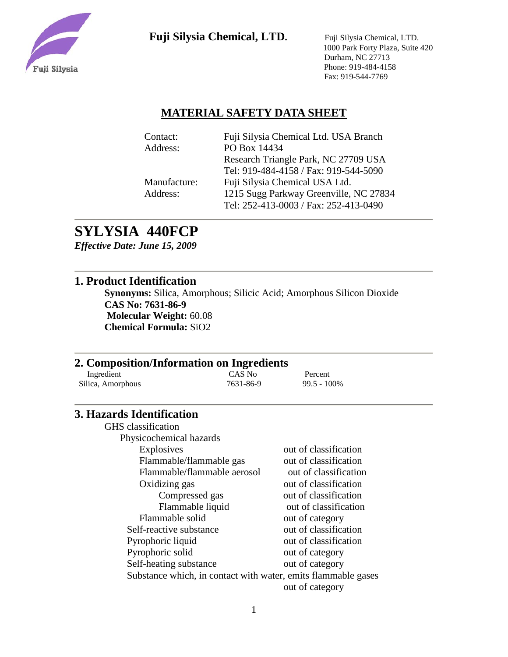

 1000 Park Forty Plaza, Suite 420 Durham, NC 27713 Phone: 919-484-4158 Fax: 919-544-7769

### **MATERIAL SAFETY DATA SHEET**

| Contact:     | Fuji Silysia Chemical Ltd. USA Branch  |
|--------------|----------------------------------------|
| Address:     | PO Box 14434                           |
|              | Research Triangle Park, NC 27709 USA   |
|              | Tel: 919-484-4158 / Fax: 919-544-5090  |
| Manufacture: | Fuji Silysia Chemical USA Ltd.         |
| Address:     | 1215 Sugg Parkway Greenville, NC 27834 |
|              | Tel: 252-413-0003 / Fax: 252-413-0490  |
|              |                                        |

# **SYLYSIA 440FCP**

*Effective Date: June 15, 2009*

### **1. Product Identification**

**Synonyms:** Silica, Amorphous; Silicic Acid; Amorphous Silicon Dioxide **CAS No: 7631-86-9 Molecular Weight:** 60.08 **Chemical Formula:** SiO2

### **2. Composition/Information on Ingredients**

| Ingredient        | CAS No    | Percent        |
|-------------------|-----------|----------------|
| Silica, Amorphous | 7631-86-9 | $99.5 - 100\%$ |

### **3. Hazards Identification**

GHS classification Physicochemical hazards Explosives out of classification Flammable/flammable gas out of classification Flammable/flammable aerosol out of classification Oxidizing gas out of classification Compressed gas out of classification Flammable liquid out of classification Flammable solid out of category Self-reactive substance out of classification Pyrophoric liquid out of classification Pyrophoric solid out of category Self-heating substance out of category Substance which, in contact with water, emits flammable gases out of category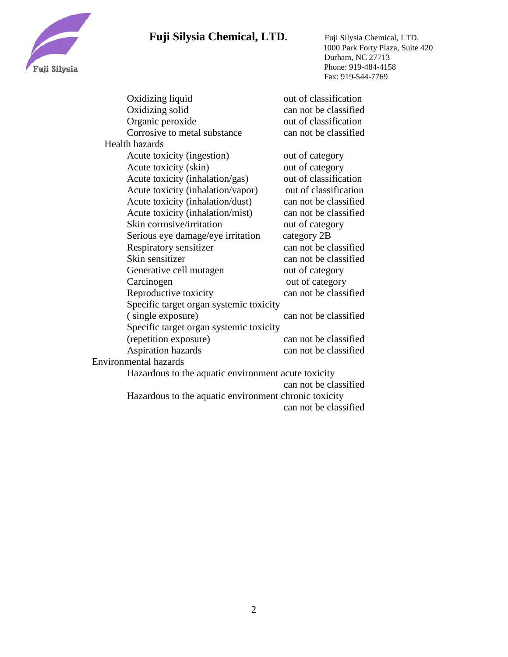

 1000 Park Forty Plaza, Suite 420 Durham, NC 27713 Phone: 919-484-4158 Fax: 919-544-7769

| Oxidizing liquid                                    | out of classification |  |
|-----------------------------------------------------|-----------------------|--|
| Oxidizing solid                                     | can not be classified |  |
| Organic peroxide                                    | out of classification |  |
| Corrosive to metal substance                        | can not be classified |  |
| <b>Health hazards</b>                               |                       |  |
| Acute toxicity (ingestion)                          | out of category       |  |
| Acute toxicity (skin)                               | out of category       |  |
| Acute toxicity (inhalation/gas)                     | out of classification |  |
| Acute toxicity (inhalation/vapor)                   | out of classification |  |
| Acute toxicity (inhalation/dust)                    | can not be classified |  |
| Acute toxicity (inhalation/mist)                    | can not be classified |  |
| Skin corrosive/irritation                           | out of category       |  |
| Serious eye damage/eye irritation                   | category 2B           |  |
| Respiratory sensitizer                              | can not be classified |  |
| Skin sensitizer                                     | can not be classified |  |
| Generative cell mutagen                             | out of category       |  |
| Carcinogen                                          | out of category       |  |
| Reproductive toxicity                               | can not be classified |  |
| Specific target organ systemic toxicity             |                       |  |
| (single exposure)                                   | can not be classified |  |
| Specific target organ systemic toxicity             |                       |  |
| (repetition exposure)                               | can not be classified |  |
| <b>Aspiration hazards</b>                           | can not be classified |  |
| <b>Environmental hazards</b>                        |                       |  |
| Hazardous to the aquatic environment acute toxicity |                       |  |
|                                                     | can not be classified |  |

 Hazardous to the aquatic environment chronic toxicity can not be classified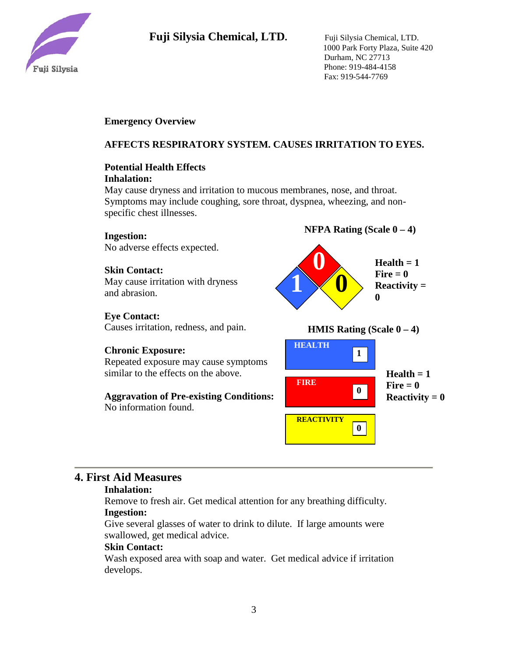

 1000 Park Forty Plaza, Suite 420 Durham, NC 27713 Phone: 919-484-4158 Fax: 919-544-7769

### **Emergency Overview**

### **AFFECTS RESPIRATORY SYSTEM. CAUSES IRRITATION TO EYES.**

#### **Potential Health Effects Inhalation:**

May cause dryness and irritation to mucous membranes, nose, and throat. Symptoms may include coughing, sore throat, dyspnea, wheezing, and nonspecific chest illnesses.

#### **Ingestion:**

No adverse effects expected.

#### **Skin Contact:**

May cause irritation with dryness and abrasion.

#### **Eye Contact:**

Causes irritation, redness, and pain.

#### **Chronic Exposure:**

Repeated exposure may cause symptoms similar to the effects on the above.

**Aggravation of Pre-existing Conditions:** No information found.







### **4. First Aid Measures**

#### **Inhalation:**

Remove to fresh air. Get medical attention for any breathing difficulty. **Ingestion:**

Give several glasses of water to drink to dilute. If large amounts were swallowed, get medical advice.

#### **Skin Contact:**

Wash exposed area with soap and water. Get medical advice if irritation develops.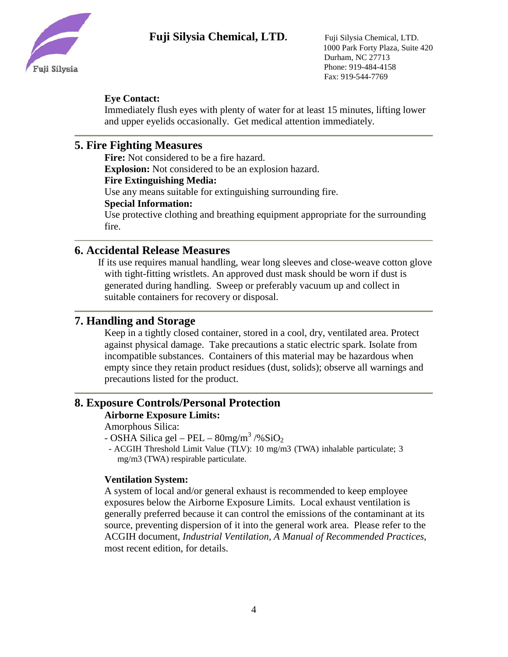

 1000 Park Forty Plaza, Suite 420 Durham, NC 27713 Phone: 919-484-4158 Fax: 919-544-7769

### **Eye Contact:**

Immediately flush eyes with plenty of water for at least 15 minutes, lifting lower and upper eyelids occasionally. Get medical attention immediately.

## **5. Fire Fighting Measures**

**Fire:** Not considered to be a fire hazard.

**Explosion:** Not considered to be an explosion hazard.

#### **Fire Extinguishing Media:**

Use any means suitable for extinguishing surrounding fire.

#### **Special Information:**

Use protective clothing and breathing equipment appropriate for the surrounding fire.

### **6. Accidental Release Measures**

 If its use requires manual handling, wear long sleeves and close-weave cotton glove with tight-fitting wristlets. An approved dust mask should be worn if dust is generated during handling. Sweep or preferably vacuum up and collect in suitable containers for recovery or disposal.

### **7. Handling and Storage**

Keep in a tightly closed container, stored in a cool, dry, ventilated area. Protect against physical damage. Take precautions a static electric spark. Isolate from incompatible substances. Containers of this material may be hazardous when empty since they retain product residues (dust, solids); observe all warnings and precautions listed for the product.

### **8. Exposure Controls/Personal Protection**

### **Airborne Exposure Limits:**

Amorphous Silica:

- OSHA Silica gel – PEL –  $80$ mg/m<sup>3</sup> /%SiO<sub>2</sub>

- ACGIH Threshold Limit Value (TLV): 10 mg/m3 (TWA) inhalable particulate; 3 mg/m3 (TWA) respirable particulate.

### **Ventilation System:**

A system of local and/or general exhaust is recommended to keep employee exposures below the Airborne Exposure Limits. Local exhaust ventilation is generally preferred because it can control the emissions of the contaminant at its source, preventing dispersion of it into the general work area. Please refer to the ACGIH document, *Industrial Ventilation, A Manual of Recommended Practices*, most recent edition, for details.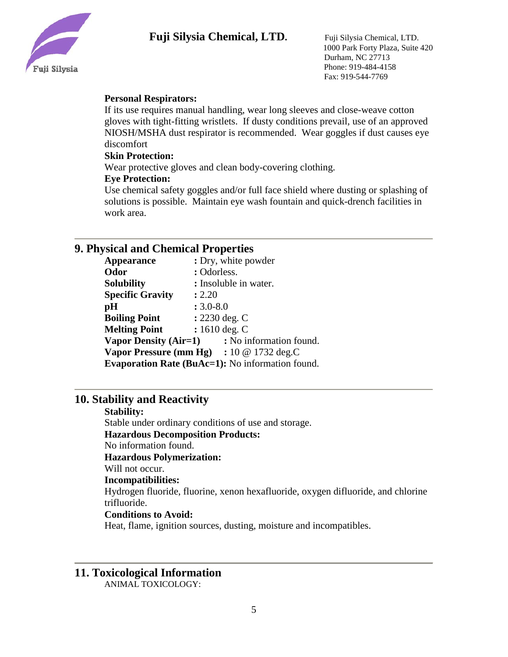

 1000 Park Forty Plaza, Suite 420 Durham, NC 27713 Phone: 919-484-4158 Fax: 919-544-7769

#### **Personal Respirators:**

If its use requires manual handling, wear long sleeves and close-weave cotton gloves with tight-fitting wristlets. If dusty conditions prevail, use of an approved NIOSH/MSHA dust respirator is recommended. Wear goggles if dust causes eye discomfort

#### **Skin Protection:**

Wear protective gloves and clean body-covering clothing.

#### **Eye Protection:**

Use chemical safety goggles and/or full face shield where dusting or splashing of solutions is possible. Maintain eye wash fountain and quick-drench facilities in work area.

### **9. Physical and Chemical Properties**

| <b>Appearance</b>                                       | : Dry, white powder                                                |  |  |
|---------------------------------------------------------|--------------------------------------------------------------------|--|--|
| Odor                                                    | : Odorless.                                                        |  |  |
| <b>Solubility</b>                                       | : Insoluble in water.                                              |  |  |
| <b>Specific Gravity</b>                                 | : 2.20                                                             |  |  |
| pH                                                      | $: 3.0 - 8.0$                                                      |  |  |
| <b>Boiling Point</b>                                    | $: 2230$ deg. C                                                    |  |  |
| <b>Melting Point</b>                                    | : $1610 \deg$ . C                                                  |  |  |
| <b>Vapor Density (Air=1)</b>                            | : No information found.                                            |  |  |
|                                                         | <b>Vapor Pressure (mm Hg)</b> : $10 \text{ @ } 1732 \text{ deg.C}$ |  |  |
| <b>Evaporation Rate (BuAc=1):</b> No information found. |                                                                    |  |  |
|                                                         |                                                                    |  |  |

### **10. Stability and Reactivity**

#### **Stability:**

Stable under ordinary conditions of use and storage. **Hazardous Decomposition Products:** No information found. **Hazardous Polymerization:** Will not occur. **Incompatibilities:** Hydrogen fluoride, fluorine, xenon hexafluoride, oxygen difluoride, and chlorine trifluoride.

#### **Conditions to Avoid:**

Heat, flame, ignition sources, dusting, moisture and incompatibles.

# **11. Toxicological Information**

ANIMAL TOXICOLOGY: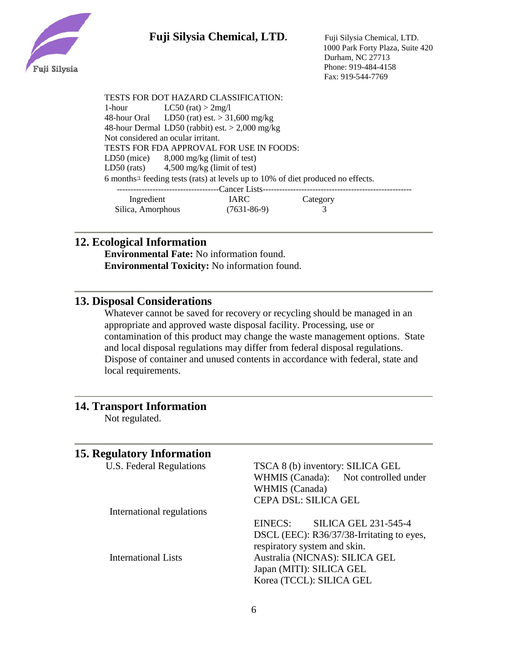

TESTS FOR DOT HAZARD CLASSIFICATION: 1-hour  $LC50$  (rat)  $>$  2mg/l 48-hour Oral LD50 (rat) est. > 31,600 mg/kg 48-hour Dermal LD50 (rabbit) est. > 2,000 mg/kg Not considered an ocular irritant. TESTS FOR FDA APPROVAL FOR USE IN FOODS: LD50 (mice) 8,000 mg/kg (limit of test) LD50 (rats) 4,500 mg/kg (limit of test) 6 monthsユ feeding tests (rats) at levels up to 10% of diet produced no effects. -------------------------------------Cancer Lists------------------------------------------------------ Ingredient IARC Category

## **12. Ecological Information**

**Environmental Fate:** No information found. **Environmental Toxicity:** No information found.

Silica, Amorphous (7631-86-9) 3

### **13. Disposal Considerations**

Whatever cannot be saved for recovery or recycling should be managed in an appropriate and approved waste disposal facility. Processing, use or contamination of this product may change the waste management options. State and local disposal regulations may differ from federal disposal regulations. Dispose of container and unused contents in accordance with federal, state and local requirements.

### **14. Transport Information**

Not regulated.

### **15. Regulatory Information**

| U.S. Federal Regulations   | TSCA 8 (b) inventory: SILICA GEL          |  |
|----------------------------|-------------------------------------------|--|
|                            | WHMIS (Canada): Not controlled under      |  |
|                            | WHMIS (Canada)                            |  |
|                            | CEPA DSL: SILICA GEL                      |  |
| International regulations  |                                           |  |
|                            | <b>SILICA GEL 231-545-4</b><br>EINECS:    |  |
|                            | DSCL (EEC): R36/37/38-Irritating to eyes, |  |
|                            | respiratory system and skin.              |  |
| <b>International Lists</b> | Australia (NICNAS): SILICA GEL            |  |
|                            | Japan (MITI): SILICA GEL                  |  |
|                            | Korea (TCCL): SILICA GEL                  |  |